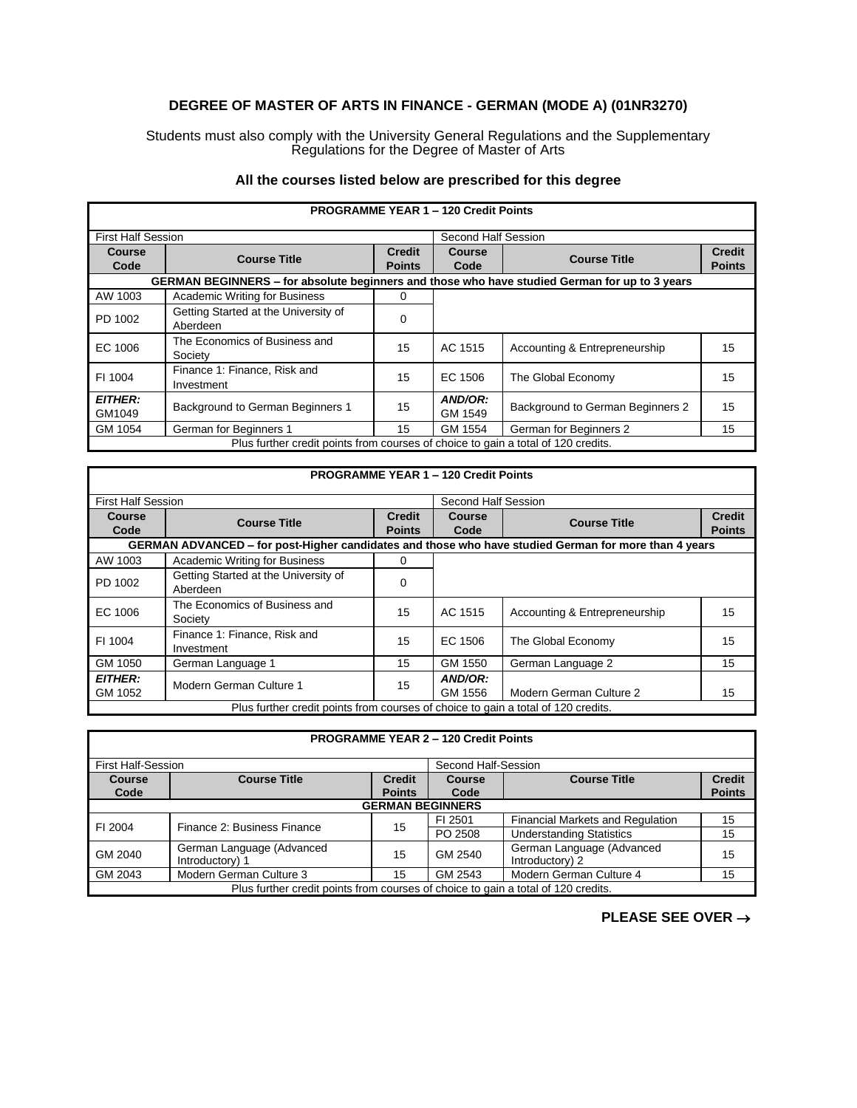## **DEGREE OF MASTER OF ARTS IN FINANCE - GERMAN (MODE A) (01NR3270)**

Students must also comply with the University General Regulations and the Supplementary Regulations for the Degree of Master of Arts

## **All the courses listed below are prescribed for this degree**

| <b>PROGRAMME YEAR 1 - 120 Credit Points</b>                                       |                                                                                               |               |                     |                                  |               |
|-----------------------------------------------------------------------------------|-----------------------------------------------------------------------------------------------|---------------|---------------------|----------------------------------|---------------|
| <b>First Half Session</b>                                                         |                                                                                               |               | Second Half Session |                                  |               |
| Course                                                                            | <b>Course Title</b>                                                                           | <b>Credit</b> | <b>Course</b>       | <b>Course Title</b>              | <b>Credit</b> |
| Code                                                                              |                                                                                               | <b>Points</b> | Code                |                                  | <b>Points</b> |
|                                                                                   | GERMAN BEGINNERS - for absolute beginners and those who have studied German for up to 3 years |               |                     |                                  |               |
| AW 1003                                                                           | <b>Academic Writing for Business</b>                                                          | 0             |                     |                                  |               |
| PD 1002                                                                           | Getting Started at the University of<br>Aberdeen                                              | 0             |                     |                                  |               |
| EC 1006                                                                           | The Economics of Business and<br>Society                                                      | 15            | AC 1515             | Accounting & Entrepreneurship    | 15            |
| FI 1004                                                                           | Finance 1: Finance, Risk and<br>Investment                                                    | 15            | EC 1506             | The Global Economy               | 15            |
| <b>EITHER:</b><br>GM1049                                                          | Background to German Beginners 1                                                              | 15            | AND/OR:<br>GM 1549  | Background to German Beginners 2 | 15            |
| GM 1054                                                                           | German for Beginners 1                                                                        | 15            | GM 1554             | German for Beginners 2           | 15            |
| Plus further credit points from courses of choice to gain a total of 120 credits. |                                                                                               |               |                     |                                  |               |

|                                                                                   |                                                                                                      |               | <b>PROGRAMME YEAR 1 - 120 Credit Points</b> |                               |               |
|-----------------------------------------------------------------------------------|------------------------------------------------------------------------------------------------------|---------------|---------------------------------------------|-------------------------------|---------------|
| <b>First Half Session</b>                                                         |                                                                                                      |               | Second Half Session                         |                               |               |
| <b>Course</b>                                                                     | <b>Course Title</b>                                                                                  | <b>Credit</b> | Course                                      | <b>Course Title</b>           | <b>Credit</b> |
| Code                                                                              |                                                                                                      | <b>Points</b> | Code                                        |                               | <b>Points</b> |
|                                                                                   | GERMAN ADVANCED - for post-Higher candidates and those who have studied German for more than 4 years |               |                                             |                               |               |
| AW 1003                                                                           | <b>Academic Writing for Business</b>                                                                 | 0             |                                             |                               |               |
| PD 1002                                                                           | Getting Started at the University of<br>Aberdeen                                                     | $\Omega$      |                                             |                               |               |
| EC 1006                                                                           | The Economics of Business and<br>Society                                                             | 15            | AC 1515                                     | Accounting & Entrepreneurship | 15            |
| FI 1004                                                                           | Finance 1: Finance, Risk and<br>Investment                                                           | 15            | EC 1506                                     | The Global Economy            | 15            |
| GM 1050                                                                           | German Language 1                                                                                    | 15            | GM 1550                                     | German Language 2             | 15            |
| <b>EITHER:</b><br>GM 1052                                                         | Modern German Culture 1                                                                              | 15            | AND/OR:<br>GM 1556                          | Modern German Culture 2       | 15            |
| Plus further credit points from courses of choice to gain a total of 120 credits. |                                                                                                      |               |                                             |                               |               |

| <b>PROGRAMME YEAR 2 - 120 Credit Points</b>                                       |                             |               |                     |                                         |               |  |
|-----------------------------------------------------------------------------------|-----------------------------|---------------|---------------------|-----------------------------------------|---------------|--|
| <b>First Half-Session</b>                                                         |                             |               | Second Half-Session |                                         |               |  |
| Course                                                                            | <b>Course Title</b>         | <b>Credit</b> | Course              | <b>Course Title</b>                     | <b>Credit</b> |  |
| Code                                                                              |                             | <b>Points</b> | Code                |                                         | <b>Points</b> |  |
|                                                                                   | <b>GERMAN BEGINNERS</b>     |               |                     |                                         |               |  |
| FI 2004                                                                           | Finance 2: Business Finance | 15            | FI 2501             | <b>Financial Markets and Regulation</b> | 15            |  |
|                                                                                   |                             |               | PO 2508             | <b>Understanding Statistics</b>         | 15            |  |
| GM 2040                                                                           | German Language (Advanced   | 15            | GM 2540             | German Language (Advanced               | 15            |  |
|                                                                                   | Introductory) 1             |               |                     | Introductory) 2                         |               |  |
| GM 2043                                                                           | Modern German Culture 3     | 15            | GM 2543             | Modern German Culture 4                 | 15            |  |
| Plus further credit points from courses of choice to gain a total of 120 credits. |                             |               |                     |                                         |               |  |

**PLEASE SEE OVER** →